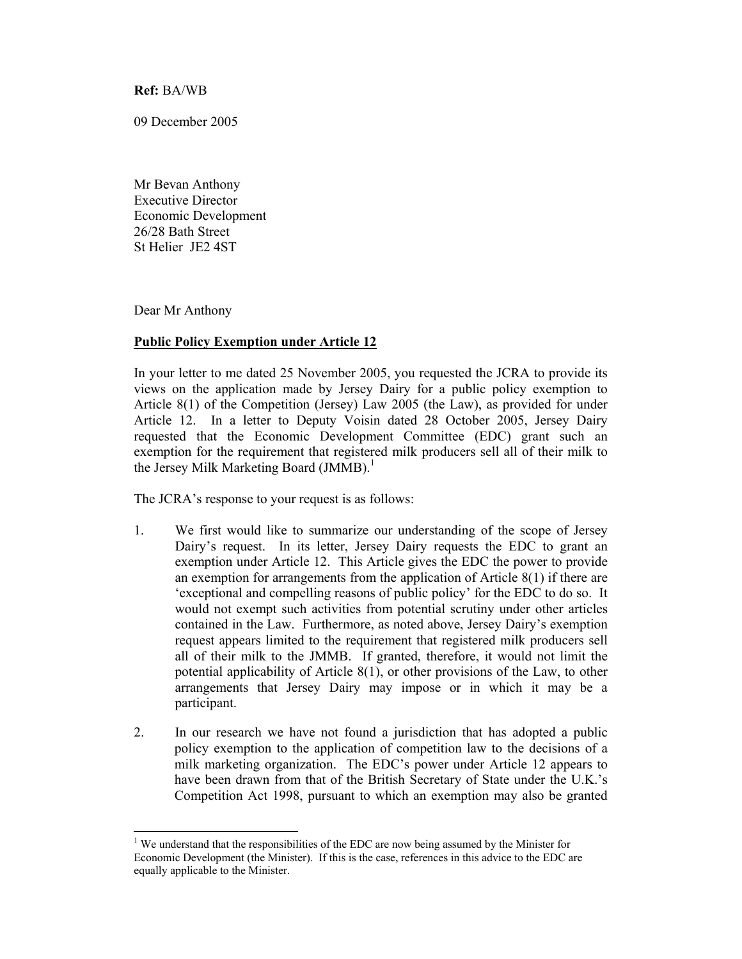**Ref:** BA/WB

09 December 2005

Mr Bevan Anthony Executive Director Economic Development 26/28 Bath Street St Helier JE2 4ST

Dear Mr Anthony

 $\overline{a}$ 

## **Public Policy Exemption under Article 12**

In your letter to me dated 25 November 2005, you requested the JCRA to provide its views on the application made by Jersey Dairy for a public policy exemption to Article 8(1) of the Competition (Jersey) Law 2005 (the Law), as provided for under Article 12. In a letter to Deputy Voisin dated 28 October 2005, Jersey Dairy requested that the Economic Development Committee (EDC) grant such an exemption for the requirement that registered milk producers sell all of their milk to the Jersey Milk Marketing Board (JMMB).<sup>1</sup>

The JCRA's response to your request is as follows:

- 1. We first would like to summarize our understanding of the scope of Jersey Dairy's request. In its letter, Jersey Dairy requests the EDC to grant an exemption under Article 12. This Article gives the EDC the power to provide an exemption for arrangements from the application of Article 8(1) if there are 'exceptional and compelling reasons of public policy' for the EDC to do so. It would not exempt such activities from potential scrutiny under other articles contained in the Law. Furthermore, as noted above, Jersey Dairy's exemption request appears limited to the requirement that registered milk producers sell all of their milk to the JMMB. If granted, therefore, it would not limit the potential applicability of Article 8(1), or other provisions of the Law, to other arrangements that Jersey Dairy may impose or in which it may be a participant.
- 2. In our research we have not found a jurisdiction that has adopted a public policy exemption to the application of competition law to the decisions of a milk marketing organization. The EDC's power under Article 12 appears to have been drawn from that of the British Secretary of State under the U.K.'s Competition Act 1998, pursuant to which an exemption may also be granted

<sup>&</sup>lt;sup>1</sup> We understand that the responsibilities of the EDC are now being assumed by the Minister for Economic Development (the Minister). If this is the case, references in this advice to the EDC are equally applicable to the Minister.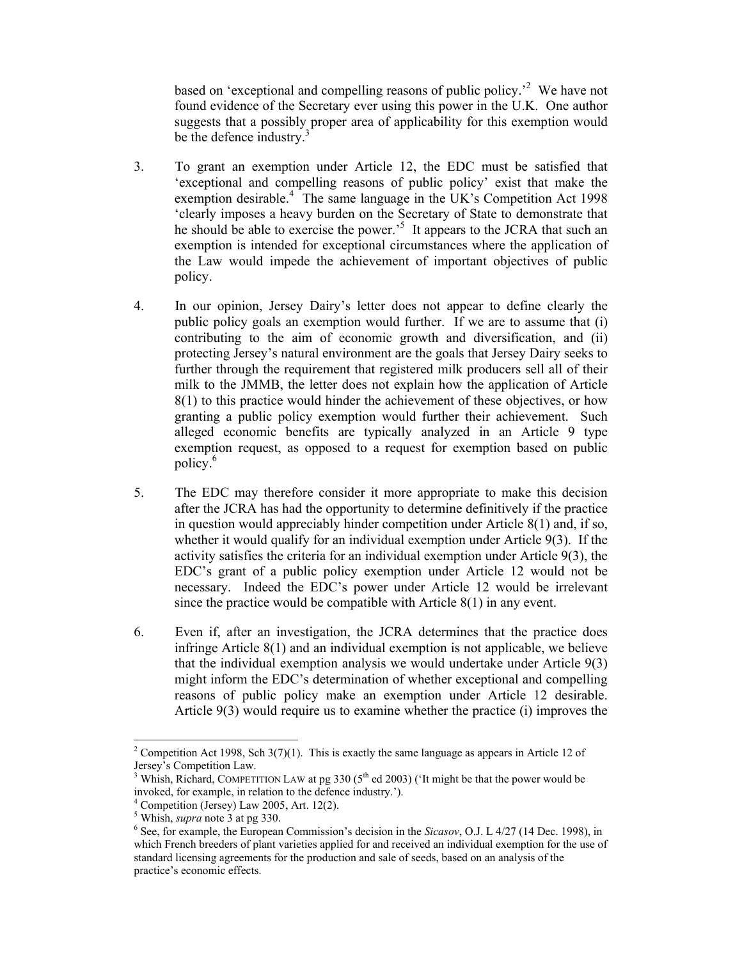based on 'exceptional and compelling reasons of public policy.<sup>2</sup> We have not found evidence of the Secretary ever using this power in the U.K. One author suggests that a possibly proper area of applicability for this exemption would be the defence industry.<sup>3</sup>

- 3. To grant an exemption under Article 12, the EDC must be satisfied that 'exceptional and compelling reasons of public policy' exist that make the exemption desirable.<sup>4</sup> The same language in the UK's Competition Act 1998 'clearly imposes a heavy burden on the Secretary of State to demonstrate that he should be able to exercise the power.<sup>5</sup> It appears to the JCRA that such an exemption is intended for exceptional circumstances where the application of the Law would impede the achievement of important objectives of public policy.
- 4. In our opinion, Jersey Dairy's letter does not appear to define clearly the public policy goals an exemption would further. If we are to assume that (i) contributing to the aim of economic growth and diversification, and (ii) protecting Jersey's natural environment are the goals that Jersey Dairy seeks to further through the requirement that registered milk producers sell all of their milk to the JMMB, the letter does not explain how the application of Article 8(1) to this practice would hinder the achievement of these objectives, or how granting a public policy exemption would further their achievement. Such alleged economic benefits are typically analyzed in an Article 9 type exemption request, as opposed to a request for exemption based on public policy.<sup>6</sup>
- 5. The EDC may therefore consider it more appropriate to make this decision after the JCRA has had the opportunity to determine definitively if the practice in question would appreciably hinder competition under Article 8(1) and, if so, whether it would qualify for an individual exemption under Article 9(3). If the activity satisfies the criteria for an individual exemption under Article 9(3), the EDC's grant of a public policy exemption under Article 12 would not be necessary. Indeed the EDC's power under Article 12 would be irrelevant since the practice would be compatible with Article 8(1) in any event.
- 6. Even if, after an investigation, the JCRA determines that the practice does infringe Article 8(1) and an individual exemption is not applicable, we believe that the individual exemption analysis we would undertake under Article 9(3) might inform the EDC's determination of whether exceptional and compelling reasons of public policy make an exemption under Article 12 desirable. Article 9(3) would require us to examine whether the practice (i) improves the

 $\overline{a}$ 

<sup>&</sup>lt;sup>2</sup> Competition Act 1998, Sch 3(7)(1). This is exactly the same language as appears in Article 12 of Jersey's Competition Law.

<sup>3</sup> Whish, Richard, COMPETITION LAW at pg 330 ( $5<sup>th</sup>$  ed 2003) ('It might be that the power would be invoked, for example, in relation to the defence industry.').

<sup>4</sup> Competition (Jersey) Law 2005, Art. 12(2).

 $^5$  Whish, *supra* note 3 at pg 330.

<sup>&</sup>lt;sup>6</sup> See, for example, the European Commission's decision in the *Sicasov*, O.J. L 4/27 (14 Dec. 1998), in which French breeders of plant varieties applied for and received an individual exemption for the use of standard licensing agreements for the production and sale of seeds, based on an analysis of the practice's economic effects.